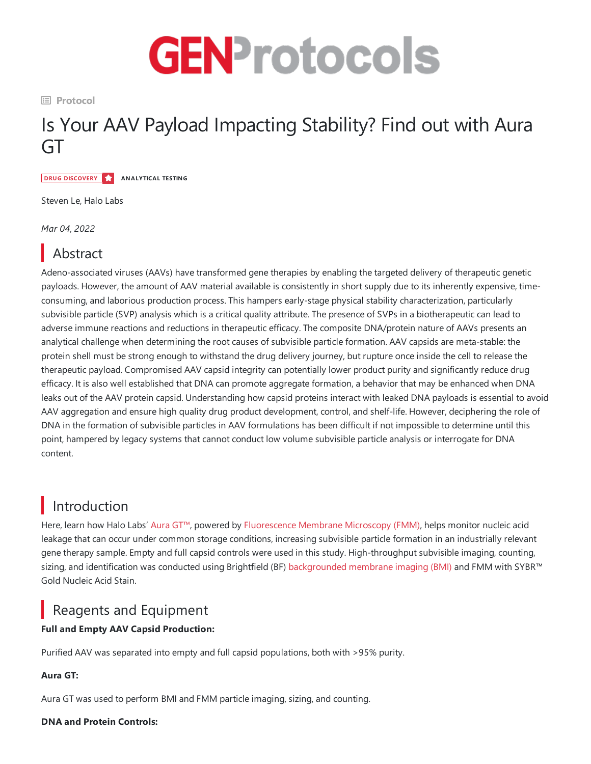

**Protocol**

# Is Your AAV Payload Impacting Stability? Find out with Aura GT

**DRUG DISCOVERY ANALYTICAL TESTING**

Steven Le, Halo Labs

*Mar 04, 2022*

# Abstract

Adeno-associated viruses (AAVs) have transformed gene therapies by enabling the targeted delivery of therapeutic genetic payloads. However, the amount of AAV material available is consistently in short supply due to its inherently expensive, timeconsuming, and laborious production process. This hampers early-stage physical stability characterization, particularly subvisible particle (SVP) analysis which is a critical quality attribute. The presence of SVPs in a biotherapeutic can lead to adverse immune reactions and reductions in therapeutic efficacy. The composite DNA/protein nature of AAVs presents an analytical challenge when determining the root causes of subvisible particle formation. AAV capsids are meta-stable: the protein shell must be strong enough to withstand the drug delivery journey, but rupture once inside the cell to release the therapeutic payload. Compromised AAV capsid integrity can potentially lower product purity and significantly reduce drug efficacy. It is also well established that DNA can promote aggregate formation, a behavior that may be enhanced when DNA leaks out of the AAV protein capsid. Understanding how capsid proteins interact with leaked DNA payloads is essential to avoid AAV aggregation and ensure high quality drug product development, control, and shelf-life. However, deciphering the role of DNA in the formation of subvisible particles in AAV formulations has been difficult if not impossible to determine until this point, hampered by legacy systems that cannot conduct low volume subvisible particle analysis or interrogate for DNA content.

# Introduction

Here, learn how Halo Labs' [Aura](https://www.halolabs.com/aura-gt-aggregate-analysis/) GT™, powered by [Fluorescence](https://www.halolabs.com/fmm-how-it-works/) Membrane Microscopy (FMM), helps monitor nucleic acid leakage that can occur under common storage conditions, increasing subvisible particle formation in an industrially relevant gene therapy sample. Empty and full capsid controls were used in this study. High-throughput subvisible imaging, counting, sizing, and identification was conducted using Brightfield (BF) backgrounded membrane imaging (BMI) and FMM with SYBR™ Gold Nucleic Acid Stain.

## Reagents and Equipment

### **Full and Empty AAV Capsid Production:**

Purified AAV was separated into empty and full capsid populations, both with >95% purity.

#### **Aura GT:**

Aura GT was used to perform BMI and FMM particle imaging, sizing, and counting.

#### **DNA and Protein Controls:**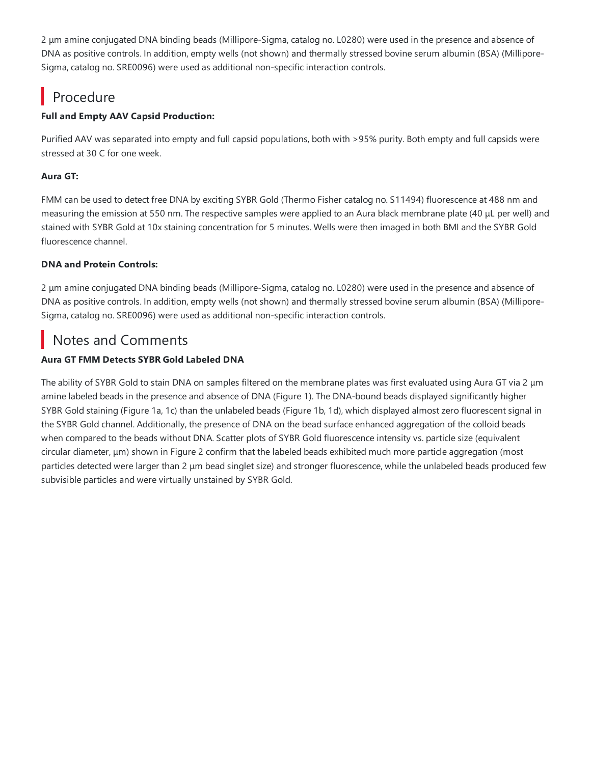2 µm amine conjugated DNA binding beads (Millipore-Sigma, catalog no. L0280) were used in the presence and absence of DNA as positive controls. In addition, empty wells (not shown) and thermally stressed bovine serum albumin (BSA) (Millipore-Sigma, catalog no. SRE0096) were used as additional non-specific interaction controls.

# Procedure

### **Full and Empty AAV Capsid Production:**

Purified AAV was separated into empty and full capsid populations, both with >95% purity. Both empty and full capsids were stressed at 30 C for one week.

#### **Aura GT:**

FMM can be used to detect free DNA by exciting SYBR Gold (Thermo Fisher catalog no. S11494) fluorescence at 488 nm and measuring the emission at 550 nm. The respective samples were applied to an Aura black membrane plate (40 μL per well) and stained with SYBR Gold at 10x staining concentration for 5 minutes. Wells were then imaged in both BMI and the SYBR Gold fluorescence channel.

#### **DNA and Protein Controls:**

2 µm amine conjugated DNA binding beads (Millipore-Sigma, catalog no. L0280) were used in the presence and absence of DNA as positive controls. In addition, empty wells (not shown) and thermally stressed bovine serum albumin (BSA) (Millipore-Sigma,catalog no.SRE0096) were used as additional non-specific interaction controls.

### Notes and Comments

### **Aura GT FMM Detects SYBR Gold Labeled DNA**

The ability of SYBR Gold to stain DNA on samples filtered on the membrane plates was first evaluated using Aura GT via 2 μm amine labeled beads in the presence and absence of DNA (Figure 1). The DNA-bound beads displayed significantly higher SYBR Gold staining (Figure 1a, 1c) than the unlabeled beads (Figure 1b, 1d), which displayed almost zero fluorescent signal in the SYBR Gold channel. Additionally, the presence of DNA on the bead surface enhanced aggregation of the colloid beads when compared to the beads without DNA. Scatter plots of SYBR Gold fluorescence intensity vs. particle size (equivalent circular diameter, μm) shown in Figure 2 confirm that the labeled beads exhibited much more particle aggregation (most particles detected were larger than 2 μm bead singlet size) and stronger fluorescence, while the unlabeled beads produced few subvisible particles and were virtually unstained by SYBR Gold.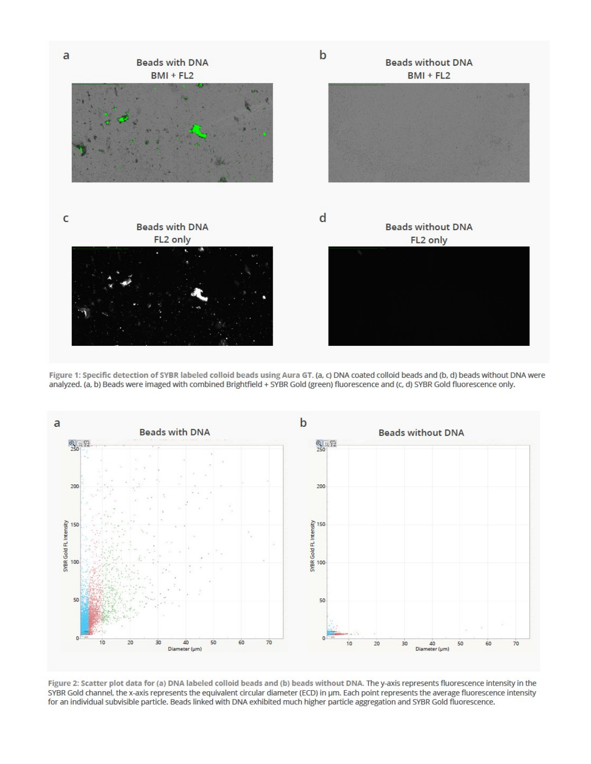

Figure 1: Specific detection of SYBR labeled colloid beads using Aura GT. (a, c) DNA coated colloid beads and (b, d) beads without DNA were analyzed. (a, b) Beads were imaged with combined Brightfield + SYBR Gold (green) fluorescence and (c, d) SYBR Gold fluorescence only.



Figure 2: Scatter plot data for (a) DNA labeled colloid beads and (b) beads without DNA. The y-axis represents fluorescence intensity in the SYBR Gold channel, the x-axis represents the equivalent circular diameter (ECD) in µm. Each point represents the average fluorescence intensity for an individual subvisible particle. Beads linked with DNA exhibited much higher particle aggregation and SYBR Gold fluorescence.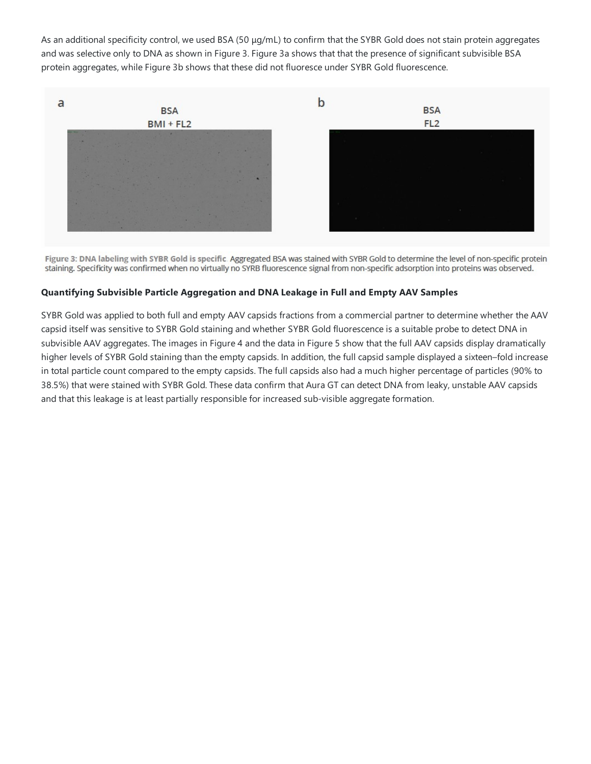As an additional specificity control, we used BSA (50  $\mu q/mL$ ) to confirm that the SYBR Gold does not stain protein aggregates and was selective only to DNA as shown in Figure 3. Figure 3a shows that that the presence of significant subvisible BSA protein aggregates, while Figure 3b shows that these did not fluoresce under SYBR Gold fluorescence.



Figure 3: DNA labeling with SYBR Gold is specific. Aggregated BSA was stained with SYBR Gold to determine the level of non-specific protein staining. Specificity was confirmed when no virtually no SYRB fluorescence signal from non-specific adsorption into proteins was observed.

#### **Quantifying Subvisible Particle Aggregation and DNA Leakage in Full and Empty AAV Samples**

SYBR Gold was applied to both full and empty AAV capsids fractions from a commercial partner to determine whether the AAV capsid itself was sensitive to SYBR Gold staining and whether SYBR Gold fluorescence is a suitable probe to detect DNA in subvisible AAV aggregates. The images in Figure 4 and the data in Figure 5 show that the full AAV capsids display dramatically higher levels of SYBR Gold staining than the empty capsids. In addition, the full capsid sample displayed a sixteen–fold increase in total particle count compared to the empty capsids. The full capsids also had a much higher percentage of particles (90% to 38.5%) that were stained with SYBR Gold. These data confirm that Aura GT can detect DNA from leaky, unstable AAV capsids and that this leakage is at least partially responsible for increased sub-visible aggregate formation.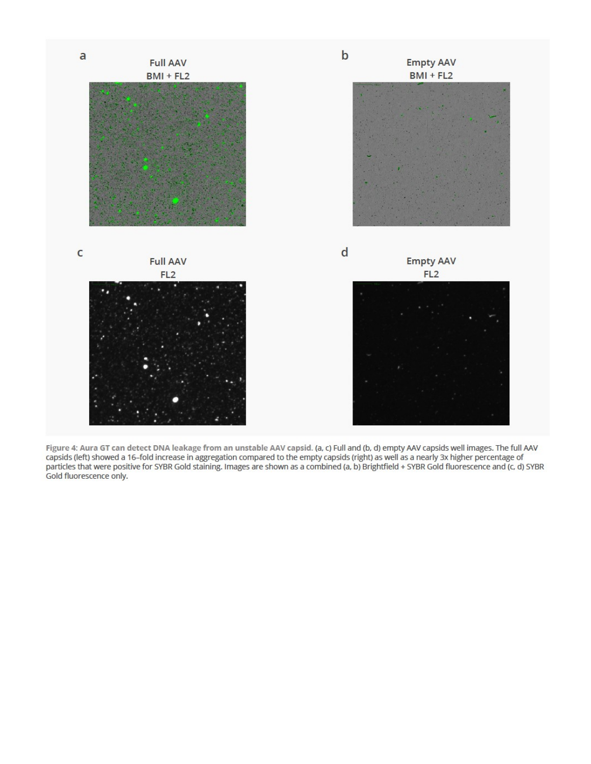

Figure 4: Aura GT can detect DNA leakage from an unstable AAV capsid. (a, c) Full and (b, d) empty AAV capsids well images. The full AAV<br>capsids (left) showed a 16–fold increase in aggregation compared to the empty capsids Gold fluorescence only.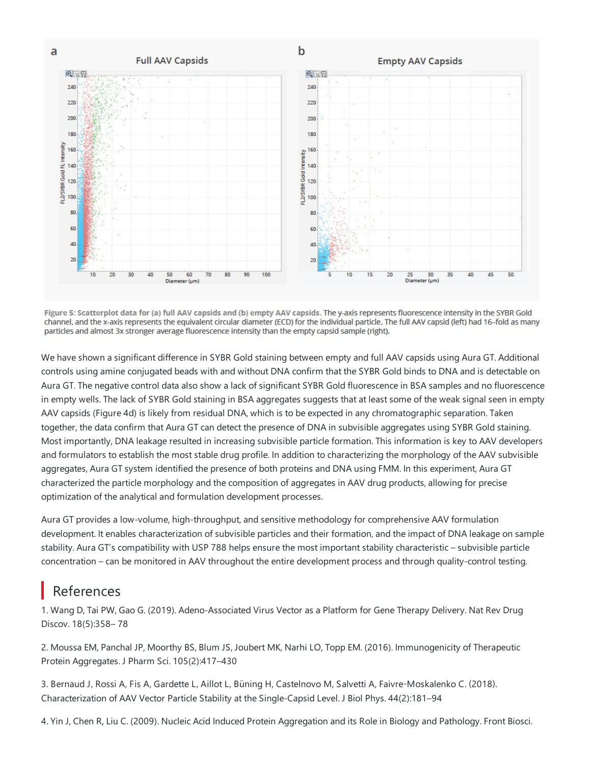

Figure 5: Scatterplot data for (a) full AAV capsids and (b) empty AAV capsids. The y-axis represents fluorescence intensity in the SYBR Gold channel, and the x-axis represents the equivalent circular diameter (ECD) for the individual particle. The full AAV capsid (left) had 16-fold as many particles and almost 3x stronger average fluorescence intensity than the empty capsid sample (right).

We have shown a significant difference in SYBR Gold staining between empty and full AAV capsids using Aura GT. Additional controls using amine conjugated beads with and without DNA confirm that the SYBR Gold binds to DNA and is detectable on Aura GT. The negative control data also show a lack of significant SYBR Gold fluorescence in BSA samples and no fluorescence in empty wells. The lack of SYBR Gold staining in BSA aggregates suggests that at least some of the weak signal seen in empty AAV capsids (Figure 4d) is likely from residual DNA, which is to be expected in any chromatographic separation. Taken together, the data confirm that Aura GT can detect the presence of DNA in subvisible aggregates using SYBR Gold staining. Most importantly, DNA leakage resulted in increasing subvisible particle formation. This information is key to AAV developers and formulators to establish the most stable drug profile. In addition to characterizing the morphology of the AAV subvisible aggregates, Aura GT system identified the presence of both proteins and DNA using FMM. In this experiment, Aura GT characterized the particle morphology and the composition of aggregates in AAV drug products, allowing for precise optimization of the analytical and formulation development processes.

Aura GT provides a low-volume, high-throughput, and sensitive methodology for comprehensive AAV formulation development. It enables characterization of subvisible particles and their formation, and the impact of DNA leakage on sample stability. Aura GT's compatibility with USP 788 helps ensure the most important stability characteristic – subvisible particle concentration – can be monitored in AAV throughout the entire development process and through quality-control testing.

## References

1. Wang D, Tai PW, Gao G. (2019). Adeno-Associated Virus Vector as a Platform for Gene Therapy Delivery. Nat Rev Drug Discov. 18(5):358– 78

2. Moussa EM, Panchal JP, Moorthy BS, Blum JS, Joubert MK, Narhi LO,Topp EM. (2016). Immunogenicity of Therapeutic Protein Aggregates. J Pharm Sci. 105(2):417–430

3. Bernaud J, Rossi A, Fis A, Gardette L, Aillot L, Büning H, Castelnovo M, Salvetti A, Faivre-Moskalenko C. (2018). Characterization of AAV Vector Particle Stability at the Single-Capsid Level. J Biol Phys. 44(2):181-94

4. Yin J, Chen R, Liu C. (2009). Nucleic Acid Induced Protein Aggregation and its Role in Biology and Pathology. Front Biosci.